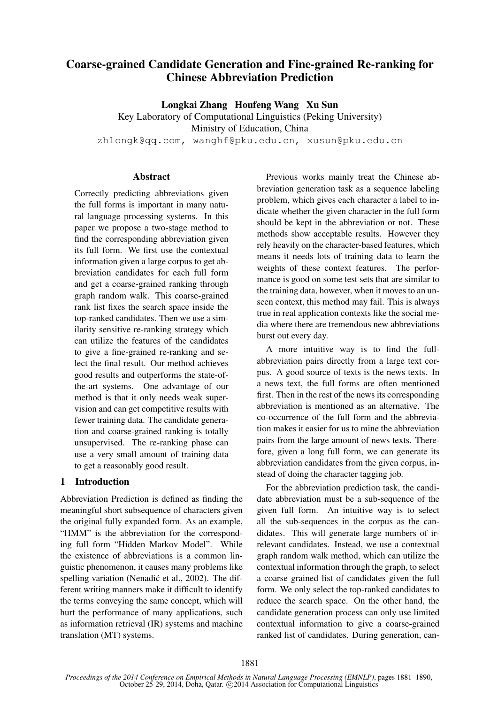# Coarse-grained Candidate Generation and Fine-grained Re-ranking for Chinese Abbreviation Prediction

Longkai Zhang Houfeng Wang Xu Sun

Key Laboratory of Computational Linguistics (Peking University) Ministry of Education, China

zhlongk@qq.com, wanghf@pku.edu.cn, xusun@pku.edu.cn

### **Abstract**

Correctly predicting abbreviations given the full forms is important in many natural language processing systems. In this paper we propose a two-stage method to find the corresponding abbreviation given its full form. We first use the contextual information given a large corpus to get abbreviation candidates for each full form and get a coarse-grained ranking through graph random walk. This coarse-grained rank list fixes the search space inside the top-ranked candidates. Then we use a similarity sensitive re-ranking strategy which can utilize the features of the candidates to give a fine-grained re-ranking and select the final result. Our method achieves good results and outperforms the state-ofthe-art systems. One advantage of our method is that it only needs weak supervision and can get competitive results with fewer training data. The candidate generation and coarse-grained ranking is totally unsupervised. The re-ranking phase can use a very small amount of training data to get a reasonably good result.

### 1 Introduction

Abbreviation Prediction is defined as finding the meaningful short subsequence of characters given the original fully expanded form. As an example, "HMM" is the abbreviation for the corresponding full form "Hidden Markov Model". While the existence of abbreviations is a common linguistic phenomenon, it causes many problems like spelling variation (Nenadić et al., 2002). The different writing manners make it difficult to identify the terms conveying the same concept, which will hurt the performance of many applications, such as information retrieval (IR) systems and machine translation (MT) systems.

Previous works mainly treat the Chinese abbreviation generation task as a sequence labeling problem, which gives each character a label to indicate whether the given character in the full form should be kept in the abbreviation or not. These methods show acceptable results. However they rely heavily on the character-based features, which means it needs lots of training data to learn the weights of these context features. The performance is good on some test sets that are similar to the training data, however, when it moves to an unseen context, this method may fail. This is always true in real application contexts like the social media where there are tremendous new abbreviations burst out every day.

A more intuitive way is to find the fullabbreviation pairs directly from a large text corpus. A good source of texts is the news texts. In a news text, the full forms are often mentioned first. Then in the rest of the news its corresponding abbreviation is mentioned as an alternative. The co-occurrence of the full form and the abbreviation makes it easier for us to mine the abbreviation pairs from the large amount of news texts. Therefore, given a long full form, we can generate its abbreviation candidates from the given corpus, instead of doing the character tagging job.

For the abbreviation prediction task, the candidate abbreviation must be a sub-sequence of the given full form. An intuitive way is to select all the sub-sequences in the corpus as the candidates. This will generate large numbers of irrelevant candidates. Instead, we use a contextual graph random walk method, which can utilize the contextual information through the graph, to select a coarse grained list of candidates given the full form. We only select the top-ranked candidates to reduce the search space. On the other hand, the candidate generation process can only use limited contextual information to give a coarse-grained ranked list of candidates. During generation, can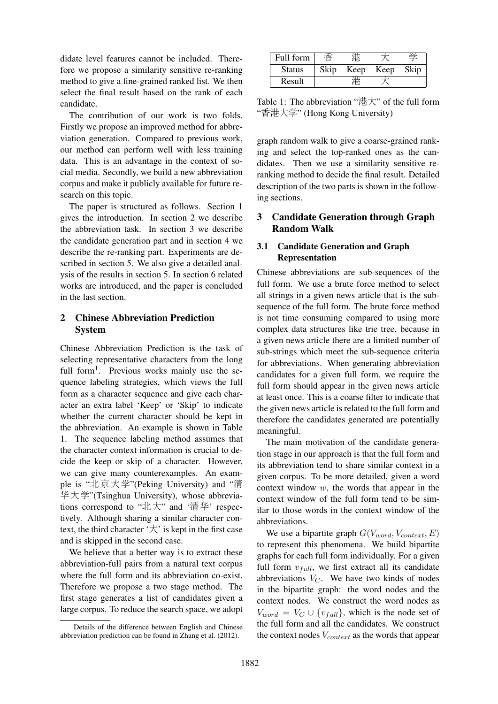didate level features cannot be included. Therefore we propose a similarity sensitive re-ranking method to give a fine-grained ranked list. We then select the final result based on the rank of each candidate.

The contribution of our work is two folds. Firstly we propose an improved method for abbreviation generation. Compared to previous work, our method can perform well with less training data. This is an advantage in the context of social media. Secondly, we build a new abbreviation corpus and make it publicly available for future research on this topic.

The paper is structured as follows. Section 1 gives the introduction. In section 2 we describe the abbreviation task. In section 3 we describe the candidate generation part and in section 4 we describe the re-ranking part. Experiments are described in section 5. We also give a detailed analysis of the results in section 5. In section 6 related works are introduced, and the paper is concluded in the last section.

## 2 Chinese Abbreviation Prediction System

Chinese Abbreviation Prediction is the task of selecting representative characters from the long full form<sup>1</sup>. Previous works mainly use the sequence labeling strategies, which views the full form as a character sequence and give each character an extra label 'Keep' or 'Skip' to indicate whether the current character should be kept in the abbreviation. An example is shown in Table 1. The sequence labeling method assumes that the character context information is crucial to decide the keep or skip of a character. However, we can give many counterexamples. An example is "北京大学"(Peking University) and "<sup>清</sup> <sup>华</sup>大学"(Tsinghua University), whose abbreviations correspond to "北大" and '清华' respectively. Although sharing a similar character context, the third character  $\forall$  is kept in the first case and is skipped in the second case.

We believe that a better way is to extract these abbreviation-full pairs from a natural text corpus where the full form and its abbreviation co-exist. Therefore we propose a two stage method. The first stage generates a list of candidates given a large corpus. To reduce the search space, we adopt

| Full form     |      |      |      |      |
|---------------|------|------|------|------|
| <b>Status</b> | Skip | Keep | Keep | Skip |
| Result        |      |      |      |      |
|               |      |      |      |      |

Table 1: The abbreviation "港大" of the full form "香港大学" (Hong Kong University)

graph random walk to give a coarse-grained ranking and select the top-ranked ones as the candidates. Then we use a similarity sensitive reranking method to decide the final result. Detailed description of the two parts is shown in the following sections.

# 3 Candidate Generation through Graph Random Walk

## 3.1 Candidate Generation and Graph Representation

Chinese abbreviations are sub-sequences of the full form. We use a brute force method to select all strings in a given news article that is the subsequence of the full form. The brute force method is not time consuming compared to using more complex data structures like trie tree, because in a given news article there are a limited number of sub-strings which meet the sub-sequence criteria for abbreviations. When generating abbreviation candidates for a given full form, we require the full form should appear in the given news article at least once. This is a coarse filter to indicate that the given news article is related to the full form and therefore the candidates generated are potentially meaningful.

The main motivation of the candidate generation stage in our approach is that the full form and its abbreviation tend to share similar context in a given corpus. To be more detailed, given a word context window  $w$ , the words that appear in the context window of the full form tend to be similar to those words in the context window of the abbreviations.

We use a bipartite graph  $G(V_{word}, V_{context}, E)$ to represent this phenomena. We build bipartite graphs for each full form individually. For a given full form  $v_{full}$ , we first extract all its candidate abbreviations  $V_C$ . We have two kinds of nodes in the bipartite graph: the word nodes and the context nodes. We construct the word nodes as  $V_{word} = V_C \cup \{v_{full}\}\$ , which is the node set of the full form and all the candidates. We construct the context nodes  $V_{context}$  as the words that appear

<sup>&</sup>lt;sup>1</sup>Details of the difference between English and Chinese abbreviation prediction can be found in Zhang et al. (2012).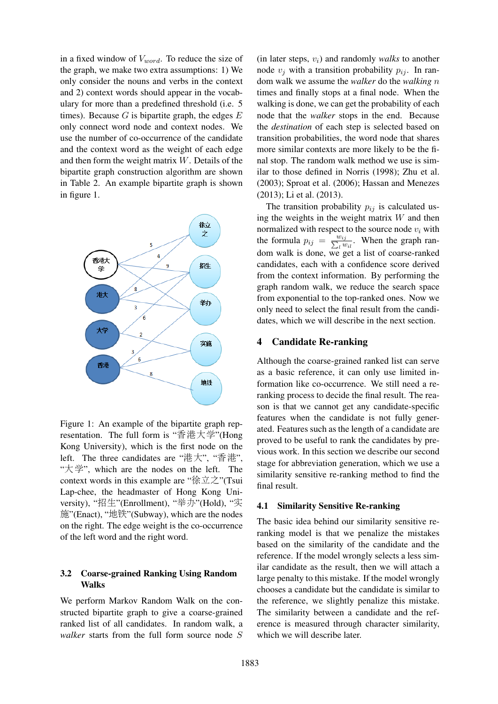in a fixed window of  $V_{word}$ . To reduce the size of the graph, we make two extra assumptions: 1) We only consider the nouns and verbs in the context and 2) context words should appear in the vocabulary for more than a predefined threshold (i.e. 5 times). Because  $G$  is bipartite graph, the edges  $E$ only connect word node and context nodes. We use the number of co-occurrence of the candidate and the context word as the weight of each edge and then form the weight matrix W. Details of the bipartite graph construction algorithm are shown in Table 2. An example bipartite graph is shown in figure 1.



Figure 1: An example of the bipartite graph representation. The full form is "香港大学"(Hong Kong University), which is the first node on the left. The three candidates are "港大", "香港", "大学", which are the nodes on the left. The context words in this example are "徐立之"(Tsui Lap-chee, the headmaster of Hong Kong University), "招生"(Enrollment), "举办"(Hold), "<sup>实</sup> 施"(Enact), "地铁"(Subway), which are the nodes on the right. The edge weight is the co-occurrence of the left word and the right word.

### 3.2 Coarse-grained Ranking Using Random Walks

We perform Markov Random Walk on the constructed bipartite graph to give a coarse-grained ranked list of all candidates. In random walk, a *walker* starts from the full form source node S

 $(in later steps, v<sub>i</sub>)$  and randomly *walks* to another node  $v_i$  with a transition probability  $p_{ij}$ . In random walk we assume the *walker* do the *walking* n times and finally stops at a final node. When the walking is done, we can get the probability of each node that the *walker* stops in the end. Because the *destination* of each step is selected based on transition probabilities, the word node that shares more similar contexts are more likely to be the final stop. The random walk method we use is similar to those defined in Norris (1998); Zhu et al. (2003); Sproat et al. (2006); Hassan and Menezes (2013); Li et al. (2013).

The transition probability  $p_{ij}$  is calculated using the weights in the weight matrix  $W$  and then normalized with respect to the source node  $v_i$  with the formula  $p_{ij} = \sum_{l=1}^{w_{ij}} w_{il}$ . When the graph random walk is done, we get a list of coarse-ranked candidates, each with a confidence score derived from the context information. By performing the graph random walk, we reduce the search space from exponential to the top-ranked ones. Now we only need to select the final result from the candidates, which we will describe in the next section.

### 4 Candidate Re-ranking

Although the coarse-grained ranked list can serve as a basic reference, it can only use limited information like co-occurrence. We still need a reranking process to decide the final result. The reason is that we cannot get any candidate-specific features when the candidate is not fully generated. Features such as the length of a candidate are proved to be useful to rank the candidates by previous work. In this section we describe our second stage for abbreviation generation, which we use a similarity sensitive re-ranking method to find the final result.

#### 4.1 Similarity Sensitive Re-ranking

The basic idea behind our similarity sensitive reranking model is that we penalize the mistakes based on the similarity of the candidate and the reference. If the model wrongly selects a less similar candidate as the result, then we will attach a large penalty to this mistake. If the model wrongly chooses a candidate but the candidate is similar to the reference, we slightly penalize this mistake. The similarity between a candidate and the reference is measured through character similarity, which we will describe later.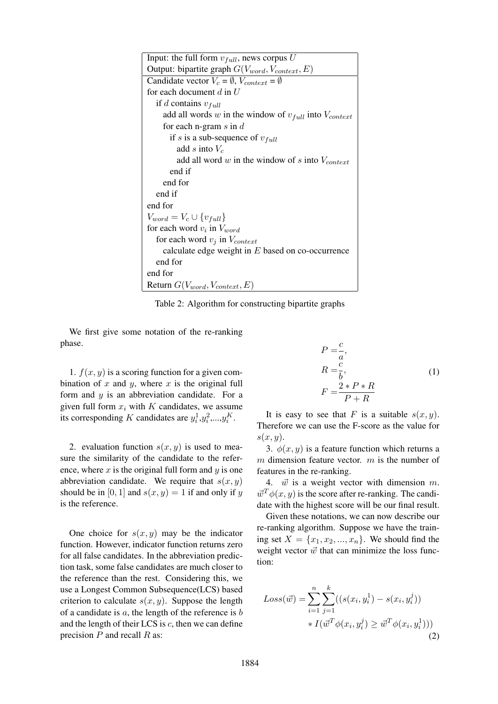| Input: the full form $v_{full}$ , news corpus U                |
|----------------------------------------------------------------|
| Output: bipartite graph $G(V_{word}, V_{context}, E)$          |
| Candidate vector $V_c = \emptyset$ , $V_{context} = \emptyset$ |
| for each document $d$ in $U$                                   |
| if <i>d</i> contains $v_{full}$                                |
| add all words w in the window of $v_{full}$ into $V_{context}$ |
| for each n-gram $s$ in $d$                                     |
| if s is a sub-sequence of $v_{full}$                           |
| add s into $V_c$                                               |
| add all word w in the window of s into $V_{context}$           |
| end if                                                         |
| end for                                                        |
| end if                                                         |
| end for                                                        |
| $V_{word} = V_c \cup \{v_{full}\}\$                            |
| for each word $v_i$ in $V_{word}$                              |
| for each word $v_i$ in $V_{context}$                           |
| calculate edge weight in $E$ based on co-occurrence            |
| end for                                                        |
| end for                                                        |
| Return $G(V_{word}, V_{context}, E)$                           |

Table 2: Algorithm for constructing bipartite graphs

We first give some notation of the re-ranking phase.

1.  $f(x, y)$  is a scoring function for a given combination of x and y, where x is the original full form and  $y$  is an abbreviation candidate. For a given full form  $x_i$  with  $K$  candidates, we assume its corresponding K candidates are  $y_i^1, y_i^2, ..., y_i^K$ .

2. evaluation function  $s(x, y)$  is used to measure the similarity of the candidate to the reference, where  $x$  is the original full form and  $y$  is one abbreviation candidate. We require that  $s(x, y)$ should be in [0, 1] and  $s(x, y) = 1$  if and only if y is the reference.

One choice for  $s(x, y)$  may be the indicator function. However, indicator function returns zero for all false candidates. In the abbreviation prediction task, some false candidates are much closer to the reference than the rest. Considering this, we use a Longest Common Subsequence(LCS) based criterion to calculate  $s(x, y)$ . Suppose the length of a candidate is  $a$ , the length of the reference is  $b$ and the length of their LCS is  $c$ , then we can define precision  $P$  and recall  $R$  as:

$$
P = \frac{c}{a},
$$
  
\n
$$
R = \frac{c}{b},
$$
  
\n
$$
F = \frac{2*P*R}{P+R}
$$
 (1)

It is easy to see that F is a suitable  $s(x, y)$ . Therefore we can use the F-score as the value for  $s(x, y)$ .

3.  $\phi(x, y)$  is a feature function which returns a  $m$  dimension feature vector.  $m$  is the number of features in the re-ranking.

4.  $\vec{w}$  is a weight vector with dimension m.  $\vec{w}^T \phi(x, y)$  is the score after re-ranking. The candidate with the highest score will be our final result.

Given these notations, we can now describe our re-ranking algorithm. Suppose we have the training set  $X = \{x_1, x_2, ..., x_n\}$ . We should find the weight vector  $\vec{w}$  that can minimize the loss function:

$$
Loss(\vec{w}) = \sum_{i=1}^{n} \sum_{j=1}^{k} ((s(x_i, y_i^1) - s(x_i, y_i^j))
$$
  
 
$$
* I(\vec{w}^T \phi(x_i, y_i^j) \ge \vec{w}^T \phi(x_i, y_i^1)))
$$
  
(2)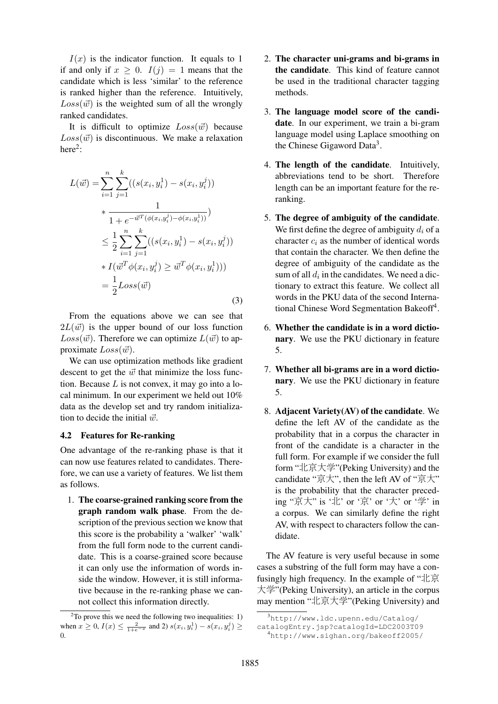$I(x)$  is the indicator function. It equals to 1 if and only if  $x > 0$ .  $I(j) = 1$  means that the candidate which is less 'similar' to the reference is ranked higher than the reference. Intuitively,  $Loss(\vec{w})$  is the weighted sum of all the wrongly ranked candidates.

It is difficult to optimize  $Loss(\vec{w})$  because  $Loss(\vec{w})$  is discontinuous. We make a relaxation here $2$ :

$$
L(\vec{w}) = \sum_{i=1}^{n} \sum_{j=1}^{k} ((s(x_i, y_i^1) - s(x_i, y_i^j))
$$
  
\n
$$
* \frac{1}{1 + e^{-\vec{w}^T(\phi(x_i, y_i^j) - \phi(x_i, y_i^1))}})
$$
  
\n
$$
\leq \frac{1}{2} \sum_{i=1}^{n} \sum_{j=1}^{k} ((s(x_i, y_i^1) - s(x_i, y_i^j))
$$
  
\n
$$
* I(\vec{w}^T \phi(x_i, y_i^j) \geq \vec{w}^T \phi(x_i, y_i^1)))
$$
  
\n
$$
= \frac{1}{2} Loss(\vec{w})
$$
\n(3)

From the equations above we can see that  $2L(\vec{w})$  is the upper bound of our loss function  $Loss(\vec{w})$ . Therefore we can optimize  $L(\vec{w})$  to approximate  $Loss(\vec{w})$ .

We can use optimization methods like gradient descent to get the  $\vec{w}$  that minimize the loss function. Because  $L$  is not convex, it may go into a local minimum. In our experiment we held out 10% data as the develop set and try random initialization to decide the initial  $\vec{w}$ .

#### 4.2 Features for Re-ranking

One advantage of the re-ranking phase is that it can now use features related to candidates. Therefore, we can use a variety of features. We list them as follows.

1. The coarse-grained ranking score from the graph random walk phase. From the description of the previous section we know that this score is the probability a 'walker' 'walk' from the full form node to the current candidate. This is a coarse-grained score because it can only use the information of words inside the window. However, it is still informative because in the re-ranking phase we cannot collect this information directly.

- 2. The character uni-grams and bi-grams in the candidate. This kind of feature cannot be used in the traditional character tagging methods.
- 3. The language model score of the candidate. In our experiment, we train a bi-gram language model using Laplace smoothing on the Chinese Gigaword Data<sup>3</sup>.
- 4. The length of the candidate. Intuitively, abbreviations tend to be short. Therefore length can be an important feature for the reranking.
- 5. The degree of ambiguity of the candidate. We first define the degree of ambiguity  $d_i$  of a character  $c_i$  as the number of identical words that contain the character. We then define the degree of ambiguity of the candidate as the sum of all  $d_i$  in the candidates. We need a dictionary to extract this feature. We collect all words in the PKU data of the second International Chinese Word Segmentation Bakeoff<sup>4</sup>.
- 6. Whether the candidate is in a word dictionary. We use the PKU dictionary in feature 5.
- 7. Whether all bi-grams are in a word dictionary. We use the PKU dictionary in feature 5.
- 8. Adjacent Variety(AV) of the candidate. We define the left AV of the candidate as the probability that in a corpus the character in front of the candidate is a character in the full form. For example if we consider the full form "北京大学"(Peking University) and the candidate "京大", then the left AV of "京大" is the probability that the character preceding "京大" is '北' or '京' or '大' or '学' in a corpus. We can similarly define the right AV, with respect to characters follow the candidate.

The AV feature is very useful because in some cases a substring of the full form may have a confusingly high frequency. In the example of "北京 大学"(Peking University), an article in the corpus may mention "北京大学"(Peking University) and

 $2^2$ To prove this we need the following two inequalities: 1) when  $x \ge 0$ ,  $I(x) \le \frac{2}{1+e^{-x}}$  and 2)  $s(x_i, y_i^1) - s(x_i, y_i^j) \ge$ 0.

 $3$ http://www.ldc.upenn.edu/Catalog/

catalogEntry.jsp?catalogId=LDC2003T09

<sup>4</sup>http://www.sighan.org/bakeoff2005/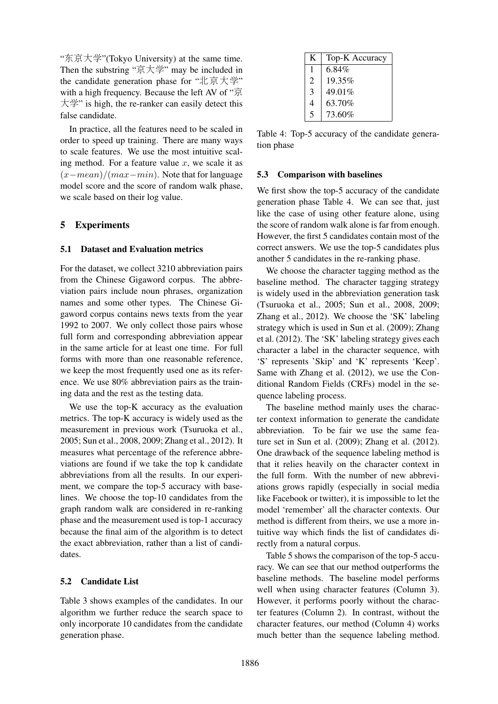"东京大学"(Tokyo University) at the same time. Then the substring "京大学" may be included in the candidate generation phase for "北京大学" with a high frequency. Because the left AV of "京 大学" is high, the re-ranker can easily detect this false candidate.

In practice, all the features need to be scaled in order to speed up training. There are many ways to scale features. We use the most intuitive scaling method. For a feature value  $x$ , we scale it as  $(x-mean)/(max-min)$ . Note that for language model score and the score of random walk phase, we scale based on their log value.

## 5 Experiments

### 5.1 Dataset and Evaluation metrics

For the dataset, we collect 3210 abbreviation pairs from the Chinese Gigaword corpus. The abbreviation pairs include noun phrases, organization names and some other types. The Chinese Gigaword corpus contains news texts from the year 1992 to 2007. We only collect those pairs whose full form and corresponding abbreviation appear in the same article for at least one time. For full forms with more than one reasonable reference, we keep the most frequently used one as its reference. We use 80% abbreviation pairs as the training data and the rest as the testing data.

We use the top-K accuracy as the evaluation metrics. The top-K accuracy is widely used as the measurement in previous work (Tsuruoka et al., 2005; Sun et al., 2008, 2009; Zhang et al., 2012). It measures what percentage of the reference abbreviations are found if we take the top k candidate abbreviations from all the results. In our experiment, we compare the top-5 accuracy with baselines. We choose the top-10 candidates from the graph random walk are considered in re-ranking phase and the measurement used is top-1 accuracy because the final aim of the algorithm is to detect the exact abbreviation, rather than a list of candidates.

### 5.2 Candidate List

Table 3 shows examples of the candidates. In our algorithm we further reduce the search space to only incorporate 10 candidates from the candidate generation phase.

| K                       | Top-K Accuracy |
|-------------------------|----------------|
| 1                       | 6.84%          |
| $\overline{c}$          | $19.35\%$      |
| 3                       | 49.01%         |
| 4                       | 63.70%         |
| $\overline{\mathbf{5}}$ | 73.60%         |

Table 4: Top-5 accuracy of the candidate generation phase

### 5.3 Comparison with baselines

We first show the top-5 accuracy of the candidate generation phase Table 4. We can see that, just like the case of using other feature alone, using the score of random walk alone is far from enough. However, the first 5 candidates contain most of the correct answers. We use the top-5 candidates plus another 5 candidates in the re-ranking phase.

We choose the character tagging method as the baseline method. The character tagging strategy is widely used in the abbreviation generation task (Tsuruoka et al., 2005; Sun et al., 2008, 2009; Zhang et al., 2012). We choose the 'SK' labeling strategy which is used in Sun et al. (2009); Zhang et al. (2012). The 'SK' labeling strategy gives each character a label in the character sequence, with 'S' represents 'Skip' and 'K' represents 'Keep'. Same with Zhang et al. (2012), we use the Conditional Random Fields (CRFs) model in the sequence labeling process.

The baseline method mainly uses the character context information to generate the candidate abbreviation. To be fair we use the same feature set in Sun et al. (2009); Zhang et al. (2012). One drawback of the sequence labeling method is that it relies heavily on the character context in the full form. With the number of new abbreviations grows rapidly (especially in social media like Facebook or twitter), it is impossible to let the model 'remember' all the character contexts. Our method is different from theirs, we use a more intuitive way which finds the list of candidates directly from a natural corpus.

Table 5 shows the comparison of the top-5 accuracy. We can see that our method outperforms the baseline methods. The baseline model performs well when using character features (Column 3). However, it performs poorly without the character features (Column 2). In contrast, without the character features, our method (Column 4) works much better than the sequence labeling method.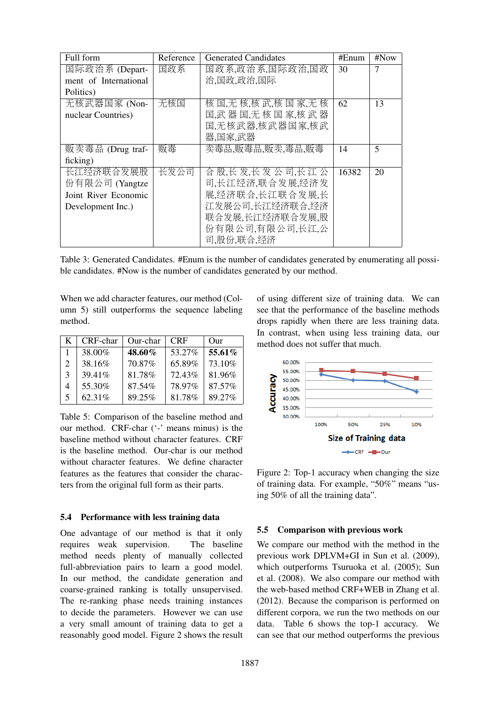| Full form             | Reference | <b>Generated Candidates</b> | #Enum | #Now |
|-----------------------|-----------|-----------------------------|-------|------|
| 国际政治系 (Depart-        | 国政系       | 国政系,政治系,国际政治,国政             | 30    | 7    |
| ment of International |           | 治,国政,政治,国际                  |       |      |
| Politics)             |           |                             |       |      |
| 无核武器国家 (Non-          | 无核国       | 核国无核核武核国家无核                 | 62    | 13   |
| nuclear Countries)    |           | 国武器国无核国家核武器                 |       |      |
|                       |           | 国,无核武器,核武器国家,核武             |       |      |
|                       |           | 器,国家,武器                     |       |      |
| 贩卖毒品 (Drug traf-      | 贩毒        | 卖毒品,贩毒品,贩卖,毒品,贩毒            | 14    | 5    |
| ficking)              |           |                             |       |      |
| 长江经济联合发展股             | 长发公司      | 合股长发长发公司长江公                 | 16382 | 20   |
| 份有限公司 (Yangtze        |           | 司,长江经济,联合发展,经济发             |       |      |
| Joint River Economic  |           | 展,经济联合,长江联合发展,长             |       |      |
| Development Inc.)     |           | 江发展公司,长江经济联合,经济             |       |      |
|                       |           | 联合发展,长江经济联合发展,股             |       |      |
|                       |           | 份有限公司,有限公司,长江,公             |       |      |
|                       |           | 司,股份,联合,经济                  |       |      |

Table 3: Generated Candidates. #Enum is the number of candidates generated by enumerating all possible candidates. #Now is the number of candidates generated by our method.

When we add character features, our method (Column 5) still outperforms the sequence labeling method.

| K.                          | CRF-char | Our-char | <b>CRF</b> | Our    |
|-----------------------------|----------|----------|------------|--------|
|                             | 38.00%   | 48.60%   | 53.27%     | 55.61% |
| $\mathcal{D}_{\mathcal{L}}$ | 38.16%   | 70.87%   | 65.89%     | 73.10% |
| 3                           | 39.41%   | 81.78%   | 72.43%     | 81.96% |
|                             | 55.30%   | 87.54%   | 78.97%     | 87.57% |
| $\overline{\mathbf{5}}$     | 62.31%   | 89.25%   | 81.78%     | 89.27% |

Table 5: Comparison of the baseline method and our method. CRF-char ('-' means minus) is the baseline method without character features. CRF is the baseline method. Our-char is our method without character features. We define character features as the features that consider the characters from the original full form as their parts.

### 5.4 Performance with less training data

One advantage of our method is that it only requires weak supervision. The baseline method needs plenty of manually collected full-abbreviation pairs to learn a good model. In our method, the candidate generation and coarse-grained ranking is totally unsupervised. The re-ranking phase needs training instances to decide the parameters. However we can use a very small amount of training data to get a reasonably good model. Figure 2 shows the result of using different size of training data. We can see that the performance of the baseline methods drops rapidly when there are less training data. In contrast, when using less training data, our method does not suffer that much.



Figure 2: Top-1 accuracy when changing the size of training data. For example, "50%" means "using 50% of all the training data".

#### 5.5 Comparison with previous work

We compare our method with the method in the previous work DPLVM+GI in Sun et al. (2009), which outperforms Tsuruoka et al. (2005); Sun et al. (2008). We also compare our method with the web-based method CRF+WEB in Zhang et al. (2012). Because the comparison is performed on different corpora, we run the two methods on our data. Table 6 shows the top-1 accuracy. We can see that our method outperforms the previous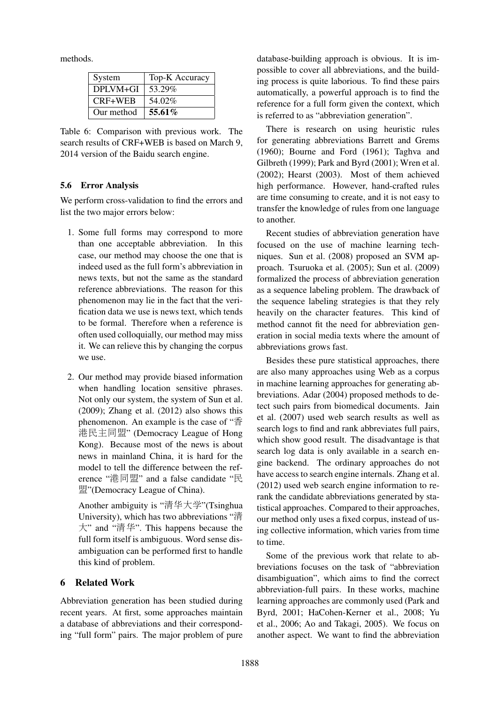methods.

| System     | Top-K Accuracy |
|------------|----------------|
| DPLVM+GI   | 53.29%         |
| $CRF+WEB$  | 54.02%         |
| Our method | $55.61\%$      |

Table 6: Comparison with previous work. The search results of CRF+WEB is based on March 9, 2014 version of the Baidu search engine.

### 5.6 Error Analysis

We perform cross-validation to find the errors and list the two major errors below:

- 1. Some full forms may correspond to more than one acceptable abbreviation. In this case, our method may choose the one that is indeed used as the full form's abbreviation in news texts, but not the same as the standard reference abbreviations. The reason for this phenomenon may lie in the fact that the verification data we use is news text, which tends to be formal. Therefore when a reference is often used colloquially, our method may miss it. We can relieve this by changing the corpus we use.
- 2. Our method may provide biased information when handling location sensitive phrases. Not only our system, the system of Sun et al. (2009); Zhang et al. (2012) also shows this phenomenon. An example is the case of "香 港民主同盟" (Democracy League of Hong Kong). Because most of the news is about news in mainland China, it is hard for the model to tell the difference between the reference "港同盟" and a false candidate "民 盟"(Democracy League of China).

Another ambiguity is "清华大学"(Tsinghua University), which has two abbreviations "清 大" and "清华". This happens because the full form itself is ambiguous. Word sense disambiguation can be performed first to handle this kind of problem.

### 6 Related Work

Abbreviation generation has been studied during recent years. At first, some approaches maintain a database of abbreviations and their corresponding "full form" pairs. The major problem of pure

database-building approach is obvious. It is impossible to cover all abbreviations, and the building process is quite laborious. To find these pairs automatically, a powerful approach is to find the reference for a full form given the context, which is referred to as "abbreviation generation".

There is research on using heuristic rules for generating abbreviations Barrett and Grems (1960); Bourne and Ford (1961); Taghva and Gilbreth (1999); Park and Byrd (2001); Wren et al. (2002); Hearst (2003). Most of them achieved high performance. However, hand-crafted rules are time consuming to create, and it is not easy to transfer the knowledge of rules from one language to another.

Recent studies of abbreviation generation have focused on the use of machine learning techniques. Sun et al. (2008) proposed an SVM approach. Tsuruoka et al. (2005); Sun et al. (2009) formalized the process of abbreviation generation as a sequence labeling problem. The drawback of the sequence labeling strategies is that they rely heavily on the character features. This kind of method cannot fit the need for abbreviation generation in social media texts where the amount of abbreviations grows fast.

Besides these pure statistical approaches, there are also many approaches using Web as a corpus in machine learning approaches for generating abbreviations. Adar (2004) proposed methods to detect such pairs from biomedical documents. Jain et al. (2007) used web search results as well as search logs to find and rank abbreviates full pairs, which show good result. The disadvantage is that search log data is only available in a search engine backend. The ordinary approaches do not have access to search engine internals. Zhang et al. (2012) used web search engine information to rerank the candidate abbreviations generated by statistical approaches. Compared to their approaches, our method only uses a fixed corpus, instead of using collective information, which varies from time to time.

Some of the previous work that relate to abbreviations focuses on the task of "abbreviation disambiguation", which aims to find the correct abbreviation-full pairs. In these works, machine learning approaches are commonly used (Park and Byrd, 2001; HaCohen-Kerner et al., 2008; Yu et al., 2006; Ao and Takagi, 2005). We focus on another aspect. We want to find the abbreviation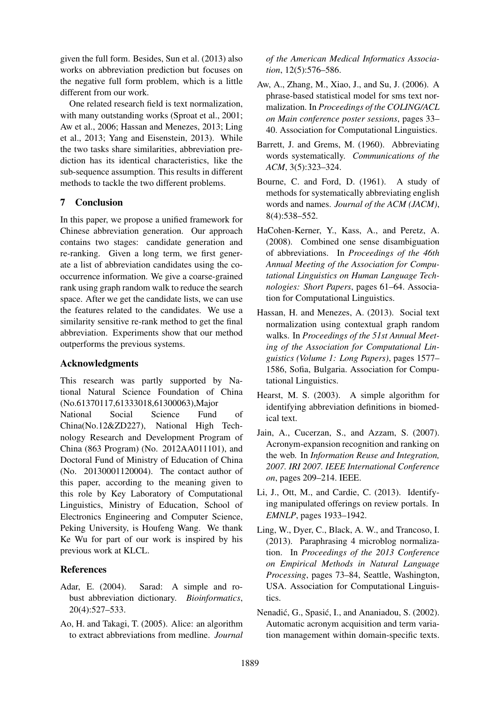given the full form. Besides, Sun et al. (2013) also works on abbreviation prediction but focuses on the negative full form problem, which is a little different from our work.

One related research field is text normalization, with many outstanding works (Sproat et al., 2001; Aw et al., 2006; Hassan and Menezes, 2013; Ling et al., 2013; Yang and Eisenstein, 2013). While the two tasks share similarities, abbreviation prediction has its identical characteristics, like the sub-sequence assumption. This results in different methods to tackle the two different problems.

# 7 Conclusion

In this paper, we propose a unified framework for Chinese abbreviation generation. Our approach contains two stages: candidate generation and re-ranking. Given a long term, we first generate a list of abbreviation candidates using the cooccurrence information. We give a coarse-grained rank using graph random walk to reduce the search space. After we get the candidate lists, we can use the features related to the candidates. We use a similarity sensitive re-rank method to get the final abbreviation. Experiments show that our method outperforms the previous systems.

## Acknowledgments

This research was partly supported by National Natural Science Foundation of China (No.61370117,61333018,61300063),Major National Social Science Fund of China(No.12&ZD227), National High Technology Research and Development Program of China (863 Program) (No. 2012AA011101), and Doctoral Fund of Ministry of Education of China (No. 20130001120004). The contact author of this paper, according to the meaning given to this role by Key Laboratory of Computational Linguistics, Ministry of Education, School of Electronics Engineering and Computer Science, Peking University, is Houfeng Wang. We thank Ke Wu for part of our work is inspired by his previous work at KLCL.

## References

- Adar, E. (2004). Sarad: A simple and robust abbreviation dictionary. *Bioinformatics*, 20(4):527–533.
- Ao, H. and Takagi, T. (2005). Alice: an algorithm to extract abbreviations from medline. *Journal*

*of the American Medical Informatics Association*, 12(5):576–586.

- Aw, A., Zhang, M., Xiao, J., and Su, J. (2006). A phrase-based statistical model for sms text normalization. In *Proceedings of the COLING/ACL on Main conference poster sessions*, pages 33– 40. Association for Computational Linguistics.
- Barrett, J. and Grems, M. (1960). Abbreviating words systematically. *Communications of the ACM*, 3(5):323–324.
- Bourne, C. and Ford, D. (1961). A study of methods for systematically abbreviating english words and names. *Journal of the ACM (JACM)*, 8(4):538–552.
- HaCohen-Kerner, Y., Kass, A., and Peretz, A. (2008). Combined one sense disambiguation of abbreviations. In *Proceedings of the 46th Annual Meeting of the Association for Computational Linguistics on Human Language Technologies: Short Papers*, pages 61–64. Association for Computational Linguistics.
- Hassan, H. and Menezes, A. (2013). Social text normalization using contextual graph random walks. In *Proceedings of the 51st Annual Meeting of the Association for Computational Linguistics (Volume 1: Long Papers)*, pages 1577– 1586, Sofia, Bulgaria. Association for Computational Linguistics.
- Hearst, M. S. (2003). A simple algorithm for identifying abbreviation definitions in biomedical text.
- Jain, A., Cucerzan, S., and Azzam, S. (2007). Acronym-expansion recognition and ranking on the web. In *Information Reuse and Integration, 2007. IRI 2007. IEEE International Conference on*, pages 209–214. IEEE.
- Li, J., Ott, M., and Cardie, C. (2013). Identifying manipulated offerings on review portals. In *EMNLP*, pages 1933–1942.
- Ling, W., Dyer, C., Black, A. W., and Trancoso, I. (2013). Paraphrasing 4 microblog normalization. In *Proceedings of the 2013 Conference on Empirical Methods in Natural Language Processing*, pages 73–84, Seattle, Washington, USA. Association for Computational Linguistics.
- Nenadić, G., Spasić, I., and Ananiadou, S. (2002). Automatic acronym acquisition and term variation management within domain-specific texts.